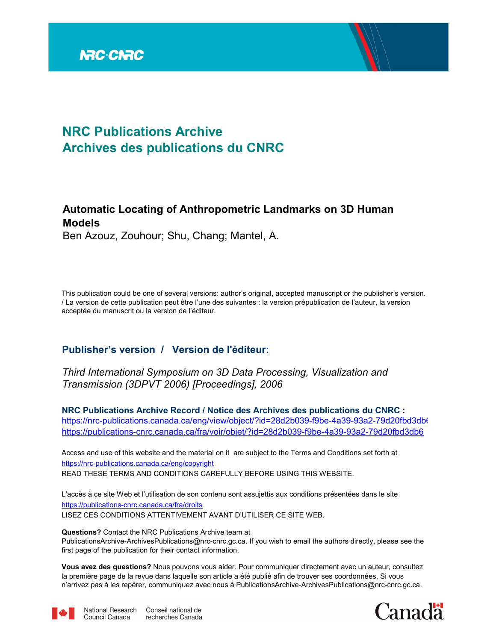

# **NRC Publications Archive Archives des publications du CNRC**

# **Automatic Locating of Anthropometric Landmarks on 3D Human Models**

Ben Azouz, Zouhour; Shu, Chang; Mantel, A.

This publication could be one of several versions: author's original, accepted manuscript or the publisher's version. / La version de cette publication peut être l'une des suivantes : la version prépublication de l'auteur, la version acceptée du manuscrit ou la version de l'éditeur.

# **Publisher's version / Version de l'éditeur:**

*Third International Symposium on 3D Data Processing, Visualization and Transmission (3DPVT 2006) [Proceedings], 2006*

**NRC Publications Archive Record / Notice des Archives des publications du CNRC :** https://nrc-publications.canada.ca/eng/view/object/?id=28d2b039-f9be-4a39-93a2-79d20fbd3db( https://publications-cnrc.canada.ca/fra/voir/objet/?id=28d2b039-f9be-4a39-93a2-79d20fbd3db6

READ THESE TERMS AND CONDITIONS CAREFULLY BEFORE USING THIS WEBSITE. https://nrc-publications.canada.ca/eng/copyright Access and use of this website and the material on it are subject to the Terms and Conditions set forth at

https://publications-cnrc.canada.ca/fra/droits L'accès à ce site Web et l'utilisation de son contenu sont assujettis aux conditions présentées dans le site LISEZ CES CONDITIONS ATTENTIVEMENT AVANT D'UTILISER CE SITE WEB.

**Questions?** Contact the NRC Publications Archive team at

PublicationsArchive-ArchivesPublications@nrc-cnrc.gc.ca. If you wish to email the authors directly, please see the first page of the publication for their contact information.

**Vous avez des questions?** Nous pouvons vous aider. Pour communiquer directement avec un auteur, consultez la première page de la revue dans laquelle son article a été publié afin de trouver ses coordonnées. Si vous n'arrivez pas à les repérer, communiquez avec nous à PublicationsArchive-ArchivesPublications@nrc-cnrc.gc.ca.



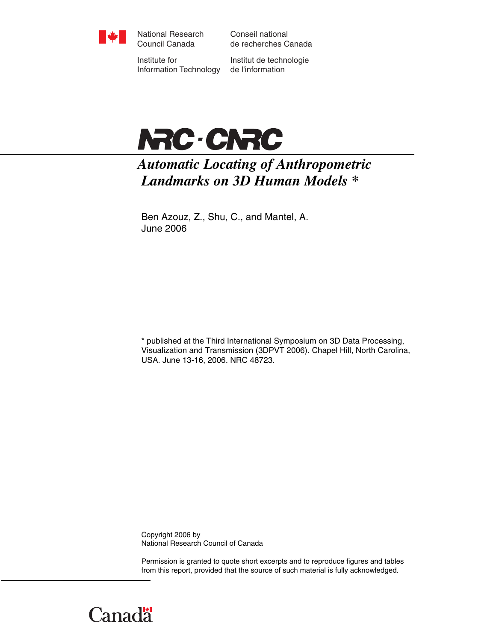

National Research Council Canada

Conseil national de recherches Canada

Institute for Information Technology

Institut de technologie de l'information



# *Automatic Locating of Anthropometric Landmarks on 3D Human Models \**

Ben Azouz, Z., Shu, C., and Mantel, A. June 2006

\* published at the Third International Symposium on 3D Data Processing, Visualization and Transmission (3DPVT 2006). Chapel Hill, North Carolina, USA. June 13-16, 2006. NRC 48723.

Copyright 2006 by National Research Council of Canada

Permission is granted to quote short excerpts and to reproduce figures and tables from this report, provided that the source of such material is fully acknowledged.

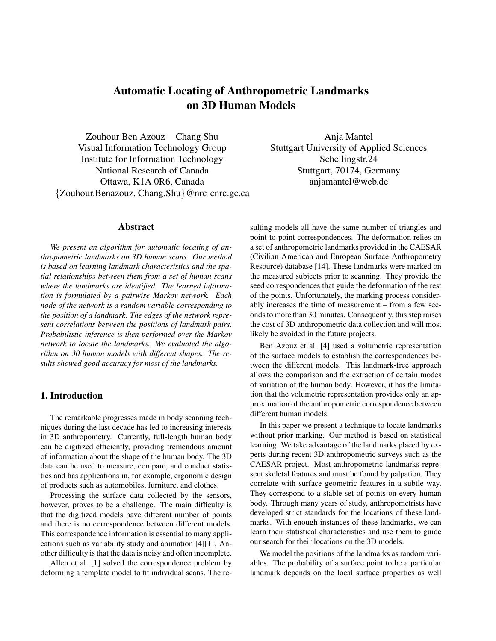# Automatic Locating of Anthropometric Landmarks on 3D Human Models

Zouhour Ben Azouz Chang Shu Visual Information Technology Group Institute for Information Technology National Research of Canada Ottawa, K1A 0R6, Canada {Zouhour.Benazouz, Chang.Shu}@nrc-cnrc.gc.ca

Abstract

*We present an algorithm for automatic locating of anthropometric landmarks on 3D human scans. Our method is based on learning landmark characteristics and the spatial relationships between them from a set of human scans where the landmarks are identified. The learned information is formulated by a pairwise Markov network. Each node of the network is a random variable corresponding to the position of a landmark. The edges of the network represent correlations between the positions of landmark pairs. Probabilistic inference is then performed over the Markov network to locate the landmarks. We evaluated the algorithm on 30 human models with different shapes. The results showed good accuracy for most of the landmarks.*

# 1. Introduction

The remarkable progresses made in body scanning techniques during the last decade has led to increasing interests in 3D anthropometry. Currently, full-length human body can be digitized efficiently, providing tremendous amount of information about the shape of the human body. The 3D data can be used to measure, compare, and conduct statistics and has applications in, for example, ergonomic design of products such as automobiles, furniture, and clothes.

Processing the surface data collected by the sensors, however, proves to be a challenge. The main difficulty is that the digitized models have different number of points and there is no correspondence between different models. This correspondence information is essential to many applications such as variability study and animation [4][1]. Another difficulty is that the data is noisy and often incomplete.

Allen et al. [1] solved the correspondence problem by deforming a template model to fit individual scans. The re-

Anja Mantel Stuttgart University of Applied Sciences Schellingstr.24 Stuttgart, 70174, Germany anjamantel@web.de

sulting models all have the same number of triangles and point-to-point correspondences. The deformation relies on a set of anthropometric landmarks provided in the CAESAR (Civilian American and European Surface Anthropometry Resource) database [14]. These landmarks were marked on the measured subjects prior to scanning. They provide the seed correspondences that guide the deformation of the rest of the points. Unfortunately, the marking process considerably increases the time of measurement – from a few seconds to more than 30 minutes. Consequently, this step raises the cost of 3D anthropometric data collection and will most likely be avoided in the future projects.

Ben Azouz et al. [4] used a volumetric representation of the surface models to establish the correspondences between the different models. This landmark-free approach allows the comparison and the extraction of certain modes of variation of the human body. However, it has the limitation that the volumetric representation provides only an approximation of the anthropometric correspondence between different human models.

In this paper we present a technique to locate landmarks without prior marking. Our method is based on statistical learning. We take advantage of the landmarks placed by experts during recent 3D anthropometric surveys such as the CAESAR project. Most anthropometric landmarks represent skeletal features and must be found by palpation. They correlate with surface geometric features in a subtle way. They correspond to a stable set of points on every human body. Through many years of study, anthropometrists have developed strict standards for the locations of these landmarks. With enough instances of these landmarks, we can learn their statistical characteristics and use them to guide our search for their locations on the 3D models.

We model the positions of the landmarks as random variables. The probability of a surface point to be a particular landmark depends on the local surface properties as well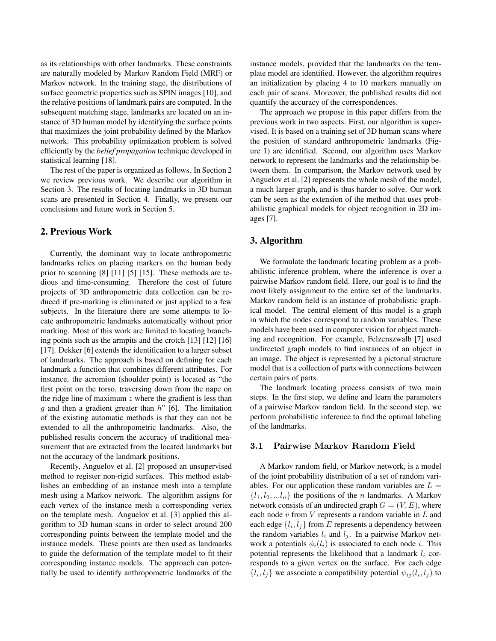as its relationships with other landmarks. These constraints are naturally modeled by Markov Random Field (MRF) or Markov network. In the training stage, the distributions of surface geometric properties such as SPIN images [10], and the relative positions of landmark pairs are computed. In the subsequent matching stage, landmarks are located on an instance of 3D human model by identifying the surface points that maximizes the joint probability defined by the Markov network. This probability optimization problem is solved efficiently by the *belief propagation* technique developed in statistical learning [18].

The rest of the paper is organized as follows. In Section 2 we review previous work. We describe our algorithm in Section 3. The results of locating landmarks in 3D human scans are presented in Section 4. Finally, we present our conclusions and future work in Section 5.

## 2. Previous Work

Currently, the dominant way to locate anthropometric landmarks relies on placing markers on the human body prior to scanning [8] [11] [5] [15]. These methods are tedious and time-consuming. Therefore the cost of future projects of 3D anthropometric data collection can be reduced if pre-marking is eliminated or just applied to a few subjects. In the literature there are some attempts to locate anthropometric landmarks automatically without prior marking. Most of this work are limited to locating branching points such as the armpits and the crotch [13] [12] [16] [17]. Dekker [6] extends the identification to a larger subset of landmarks. The approach is based on defining for each landmark a function that combines different attributes. For instance, the acromion (shoulder point) is located as "the first point on the torso, traversing down from the nape on the ridge line of maximum  $z$  where the gradient is less than q and then a gradient greater than  $h$ " [6]. The limitation of the existing automatic methods is that they can not be extended to all the anthropometric landmarks. Also, the published results concern the accuracy of traditional measurement that are extracted from the located landmarks but not the accuracy of the landmark positions.

Recently, Anguelov et al. [2] proposed an unsupervised method to register non-rigid surfaces. This method establishes an embedding of an instance mesh into a template mesh using a Markov network. The algorithm assigns for each vertex of the instance mesh a corresponding vertex on the template mesh. Anguelov et al. [3] applied this algorithm to 3D human scans in order to select around 200 corresponding points between the template model and the instance models. These points are then used as landmarks to guide the deformation of the template model to fit their corresponding instance models. The approach can potentially be used to identify anthropometric landmarks of the instance models, provided that the landmarks on the template model are identified. However, the algorithm requires an initialization by placing 4 to 10 markers manually on each pair of scans. Moreover, the published results did not quantify the accuracy of the correspondences.

The approach we propose in this paper differs from the previous work in two aspects. First, our algorithm is supervised. It is based on a training set of 3D human scans where the position of standard anthropometric landmarks (Figure 1) are identified. Second, our algorithm uses Markov network to represent the landmarks and the relationship between them. In comparison, the Markov network used by Anguelov et al. [2] represents the whole mesh of the model, a much larger graph, and is thus harder to solve. Our work can be seen as the extension of the method that uses probabilistic graphical models for object recognition in 2D images [7].

## 3. Algorithm

We formulate the landmark locating problem as a probabilistic inference problem, where the inference is over a pairwise Markov random field. Here, our goal is to find the most likely assignment to the entire set of the landmarks. Markov random field is an instance of probabilistic graphical model. The central element of this model is a graph in which the nodes correspond to random variables. These models have been used in computer vision for object matching and recognition. For example, Felzenszwalb [7] used undirected graph models to find instances of an object in an image. The object is represented by a pictorial structure model that is a collection of parts with connections between certain pairs of parts.

The landmark locating process consists of two main steps. In the first step, we define and learn the parameters of a pairwise Markov random field. In the second step, we perform probabilistic inference to find the optimal labeling of the landmarks.

#### 3.1 Pairwise Markov Random Field

A Markov random field, or Markov network, is a model of the joint probability distribution of a set of random variables. For our application these random variables are  $L =$  $\{l_1, l_2, \ldots l_n\}$  the positions of the *n* landmarks. A Markov network consists of an undirected graph  $G = (V, E)$ , where each node v from V represents a random variable in L and each edge  $\{l_i, l_j\}$  from E represents a dependency between the random variables  $l_i$  and  $l_j$ . In a pairwise Markov network a potentials  $\phi_i(l_i)$  is associated to each node *i*. This potential represents the likelihood that a landmark  $l_i$  corresponds to a given vertex on the surface. For each edge  $\{l_i, l_j\}$  we associate a compatibility potential  $\psi_{ij}(l_i, l_j)$  to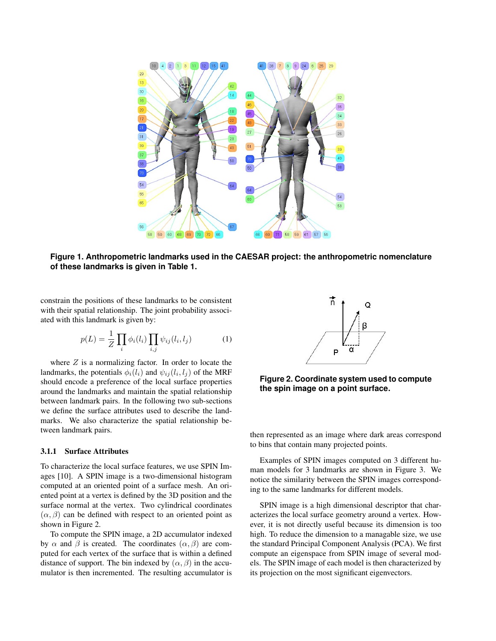

**Figure 1. Anthropometric landmarks used in the CAESAR project: the anthropometric nomenclature of these landmarks is given in Table 1.**

constrain the positions of these landmarks to be consistent with their spatial relationship. The joint probability associated with this landmark is given by:

$$
p(L) = \frac{1}{Z} \prod_{i} \phi_i(l_i) \prod_{i,j} \psi_{ij}(l_i, l_j)
$$
 (1)

where  $Z$  is a normalizing factor. In order to locate the landmarks, the potentials  $\phi_i(l_i)$  and  $\psi_{ij}(l_i, l_j)$  of the MRF should encode a preference of the local surface properties around the landmarks and maintain the spatial relationship between landmark pairs. In the following two sub-sections we define the surface attributes used to describe the landmarks. We also characterize the spatial relationship between landmark pairs.

#### 3.1.1 Surface Attributes

To characterize the local surface features, we use SPIN Images [10]. A SPIN image is a two-dimensional histogram computed at an oriented point of a surface mesh. An oriented point at a vertex is defined by the 3D position and the surface normal at the vertex. Two cylindrical coordinates  $(\alpha, \beta)$  can be defined with respect to an oriented point as shown in Figure 2.

To compute the SPIN image, a 2D accumulator indexed by  $\alpha$  and  $\beta$  is created. The coordinates  $(\alpha, \beta)$  are computed for each vertex of the surface that is within a defined distance of support. The bin indexed by  $(\alpha, \beta)$  in the accumulator is then incremented. The resulting accumulator is



**Figure 2. Coordinate system used to compute the spin image on a point surface.**

then represented as an image where dark areas correspond to bins that contain many projected points.

Examples of SPIN images computed on 3 different human models for 3 landmarks are shown in Figure 3. We notice the similarity between the SPIN images corresponding to the same landmarks for different models.

SPIN image is a high dimensional descriptor that characterizes the local surface geometry around a vertex. However, it is not directly useful because its dimension is too high. To reduce the dimension to a managable size, we use the standard Principal Component Analysis (PCA). We first compute an eigenspace from SPIN image of several models. The SPIN image of each model is then characterized by its projection on the most significant eigenvectors.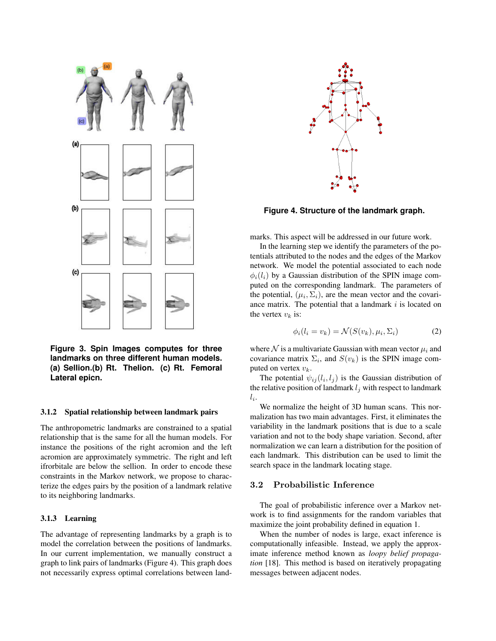

**Figure 3. Spin Images computes for three landmarks on three different human models. (a) Sellion.(b) Rt. Thelion. (c) Rt. Femoral Lateral epicn.**

#### 3.1.2 Spatial relationship between landmark pairs

The anthropometric landmarks are constrained to a spatial relationship that is the same for all the human models. For instance the positions of the right acromion and the left acromion are approximately symmetric. The right and left ifrorbitale are below the sellion. In order to encode these constraints in the Markov network, we propose to characterize the edges pairs by the position of a landmark relative to its neighboring landmarks.

#### 3.1.3 Learning

The advantage of representing landmarks by a graph is to model the correlation between the positions of landmarks. In our current implementation, we manually construct a graph to link pairs of landmarks (Figure 4). This graph does not necessarily express optimal correlations between land-



**Figure 4. Structure of the landmark graph.**

marks. This aspect will be addressed in our future work.

In the learning step we identify the parameters of the potentials attributed to the nodes and the edges of the Markov network. We model the potential associated to each node  $\phi_i(l_i)$  by a Gaussian distribution of the SPIN image computed on the corresponding landmark. The parameters of the potential,  $(\mu_i, \Sigma_i)$ , are the mean vector and the covariance matrix. The potential that a landmark  $i$  is located on the vertex  $v_k$  is:

$$
\phi_i(l_i = v_k) = \mathcal{N}(S(v_k), \mu_i, \Sigma_i)
$$
\n(2)

where  $N$  is a multivariate Gaussian with mean vector  $\mu_i$  and covariance matrix  $\Sigma_i$ , and  $S(v_k)$  is the SPIN image computed on vertex  $v_k$ .

The potential  $\psi_{ij}(l_i, l_j)$  is the Gaussian distribution of the relative position of landmark  $l_i$  with respect to landmark  $l_i$ .

We normalize the height of 3D human scans. This normalization has two main advantages. First, it eliminates the variability in the landmark positions that is due to a scale variation and not to the body shape variation. Second, after normalization we can learn a distribution for the position of each landmark. This distribution can be used to limit the search space in the landmark locating stage.

### 3.2 Probabilistic Inference

The goal of probabilistic inference over a Markov network is to find assignments for the random variables that maximize the joint probability defined in equation 1.

When the number of nodes is large, exact inference is computationally infeasible. Instead, we apply the approximate inference method known as *loopy belief propagation* [18]. This method is based on iteratively propagating messages between adjacent nodes.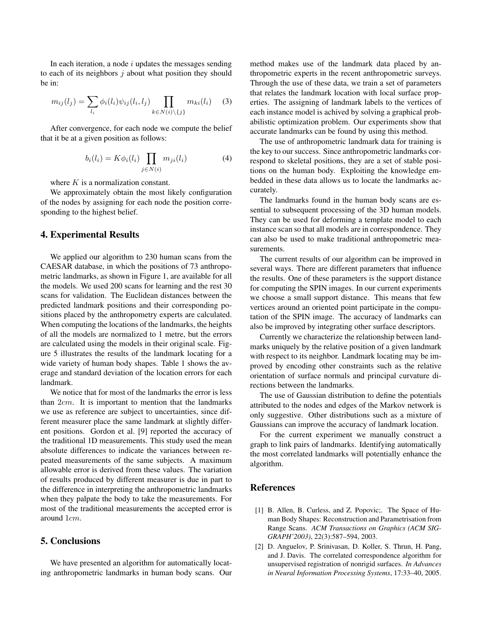In each iteration, a node  $i$  updates the messages sending to each of its neighbors  $j$  about what position they should be in:

$$
m_{ij}(l_j) = \sum_{l_i} \phi_i(l_i) \psi_{ij}(l_i, l_j) \prod_{k \in N(i) \setminus \{j\}} m_{ki}(l_i) \quad (3)
$$

After convergence, for each node we compute the belief that it be at a given position as follows:

$$
b_i(l_i) = K\phi_i(l_i) \prod_{j \in N(i)} m_{ji}(l_i)
$$
 (4)

where  $K$  is a normalization constant.

We approximately obtain the most likely configuration of the nodes by assigning for each node the position corresponding to the highest belief.

#### 4. Experimental Results

We applied our algorithm to 230 human scans from the CAESAR database, in which the positions of 73 anthropometric landmarks, as shown in Figure 1, are available for all the models. We used 200 scans for learning and the rest 30 scans for validation. The Euclidean distances between the predicted landmark positions and their corresponding positions placed by the anthropometry experts are calculated. When computing the locations of the landmarks, the heights of all the models are normalized to 1 metre, but the errors are calculated using the models in their original scale. Figure 5 illustrates the results of the landmark locating for a wide variety of human body shapes. Table 1 shows the average and standard deviation of the location errors for each landmark.

We notice that for most of the landmarks the error is less than 2cm. It is important to mention that the landmarks we use as reference are subject to uncertainties, since different measurer place the same landmark at slightly different positions. Gordon et al. [9] reported the accuracy of the traditional 1D measurements. This study used the mean absolute differences to indicate the variances between repeated measurements of the same subjects. A maximum allowable error is derived from these values. The variation of results produced by different measurer is due in part to the difference in interpreting the anthropometric landmarks when they palpate the body to take the measurements. For most of the traditional measurements the accepted error is around 1cm.

## 5. Conclusions

We have presented an algorithm for automatically locating anthropometric landmarks in human body scans. Our method makes use of the landmark data placed by anthropometric experts in the recent anthropometric surveys. Through the use of these data, we train a set of parameters that relates the landmark location with local surface properties. The assigning of landmark labels to the vertices of each instance model is achived by solving a graphical probabilistic optimization problem. Our experiments show that accurate landmarks can be found by using this method.

The use of anthropometric landmark data for training is the key to our success. Since anthropometric landmarks correspond to skeletal positions, they are a set of stable positions on the human body. Exploiting the knowledge embedded in these data allows us to locate the landmarks accurately.

The landmarks found in the human body scans are essential to subsequent processing of the 3D human models. They can be used for deforming a template model to each instance scan so that all models are in correspondence. They can also be used to make traditional anthropometric measurements.

The current results of our algorithm can be improved in several ways. There are different parameters that influence the results. One of these parameters is the support distance for computing the SPIN images. In our current experiments we choose a small support distance. This means that few vertices around an oriented point participate in the computation of the SPIN image. The accuracy of landmarks can also be improved by integrating other surface descriptors.

Currently we characterize the relationship between landmarks uniquely by the relative position of a given landmark with respect to its neighbor. Landmark locating may be improved by encoding other constraints such as the relative orientation of surface normals and principal curvature directions between the landmarks.

The use of Gaussian distribution to define the potentials attributed to the nodes and edges of the Markov network is only suggestive. Other distributions such as a mixture of Gaussians can improve the accuracy of landmark location.

For the current experiment we manually construct a graph to link pairs of landmarks. Identifying automatically the most correlated landmarks will potentially enhance the algorithm.

### **References**

- [1] B. Allen, B. Curless, and Z. Popovic;. The Space of Human Body Shapes: Reconstruction and Parametrisation from Range Scans. *ACM Transactions on Graphics (ACM SIG-GRAPH'2003)*, 22(3):587–594, 2003.
- [2] D. Anguelov, P. Srinivasan, D. Koller, S. Thrun, H. Pang, and J. Davis. The correlated correspondence algorithm for unsupervised registration of nonrigid surfaces. *In Advances in Neural Information Processing Systems*, 17:33–40, 2005.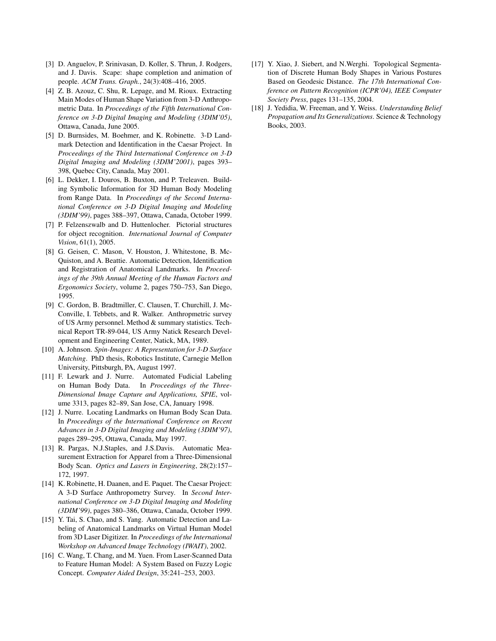- [3] D. Anguelov, P. Srinivasan, D. Koller, S. Thrun, J. Rodgers, and J. Davis. Scape: shape completion and animation of people. *ACM Trans. Graph.*, 24(3):408–416, 2005.
- [4] Z. B. Azouz, C. Shu, R. Lepage, and M. Rioux. Extracting Main Modes of Human Shape Variation from 3-D Anthropometric Data. In *Proceedings of the Fifth International Conference on 3-D Digital Imaging and Modeling (3DIM'05)*, Ottawa, Canada, June 2005.
- [5] D. Burnsides, M. Boehmer, and K. Robinette. 3-D Landmark Detection and Identification in the Caesar Project. In *Proceedings of the Third International Conference on 3-D Digital Imaging and Modeling (3DIM'2001)*, pages 393– 398, Quebec City, Canada, May 2001.
- [6] L. Dekker, I. Douros, B. Buxton, and P. Treleaven. Building Symbolic Information for 3D Human Body Modeling from Range Data. In *Proceedings of the Second International Conference on 3-D Digital Imaging and Modeling (3DIM'99)*, pages 388–397, Ottawa, Canada, October 1999.
- [7] P. Felzenszwalb and D. Huttenlocher. Pictorial structures for object recognition. *International Journal of Computer Vision*, 61(1), 2005.
- [8] G. Geisen, C. Mason, V. Houston, J. Whitestone, B. Mc-Quiston, and A. Beattie. Automatic Detection, Identification and Registration of Anatomical Landmarks. In *Proceedings of the 39th Annual Meeting of the Human Factors and Ergonomics Society*, volume 2, pages 750–753, San Diego, 1995.
- [9] C. Gordon, B. Bradtmiller, C. Clausen, T. Churchill, J. Mc-Conville, I. Tebbets, and R. Walker. Anthropmetric survey of US Army personnel. Method & summary statistics. Technical Report TR-89-044, US Army Natick Research Development and Engineering Center, Natick, MA, 1989.
- [10] A. Johnson. *Spin-Images: A Representation for 3-D Surface Matching*. PhD thesis, Robotics Institute, Carnegie Mellon University, Pittsburgh, PA, August 1997.
- [11] F. Lewark and J. Nurre. Automated Fudicial Labeling on Human Body Data. In *Proceedings of the Three-Dimensional Image Capture and Applications, SPIE*, volume 3313, pages 82–89, San Jose, CA, January 1998.
- [12] J. Nurre. Locating Landmarks on Human Body Scan Data. In *Proceedings of the International Conference on Recent Advances in 3-D Digital Imaging and Modeling (3DIM'97)*, pages 289–295, Ottawa, Canada, May 1997.
- [13] R. Pargas, N.J.Staples, and J.S.Davis. Automatic Measurement Extraction for Apparel from a Three-Dimensional Body Scan. *Optics and Lasers in Engineering*, 28(2):157– 172, 1997.
- [14] K. Robinette, H. Daanen, and E. Paquet. The Caesar Project: A 3-D Surface Anthropometry Survey. In *Second International Conference on 3-D Digital Imaging and Modeling (3DIM'99)*, pages 380–386, Ottawa, Canada, October 1999.
- [15] Y. Tai, S. Chao, and S. Yang. Automatic Detection and Labeling of Anatomical Landmarks on Virtual Human Model from 3D Laser Digitizer. In *Proceedings of the International Workshop on Advanced Image Technology (IWAIT)*, 2002.
- [16] C. Wang, T. Chang, and M. Yuen. From Laser-Scanned Data to Feature Human Model: A System Based on Fuzzy Logic Concept. *Computer Aided Design*, 35:241–253, 2003.
- [17] Y. Xiao, J. Siebert, and N.Werghi. Topological Segmentation of Discrete Human Body Shapes in Various Postures Based on Geodesic Distance. *The 17th International Conference on Pattern Recognition (ICPR'04), IEEE Computer Society Press*, pages 131–135, 2004.
- [18] J. Yedidia, W. Freeman, and Y. Weiss. *Understanding Belief Propagation and Its Generalizations*. Science & Technology Books, 2003.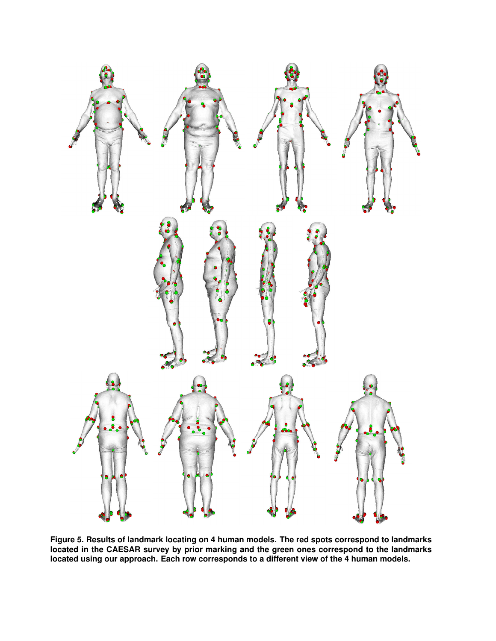

**Figure 5. Results of landmark locating on 4 human models. The red spots correspond to landmarks located in the CAESAR survey by prior marking and the green ones correspond to the landmarks located using our approach. Each row corresponds to a different view of the 4 human models.**